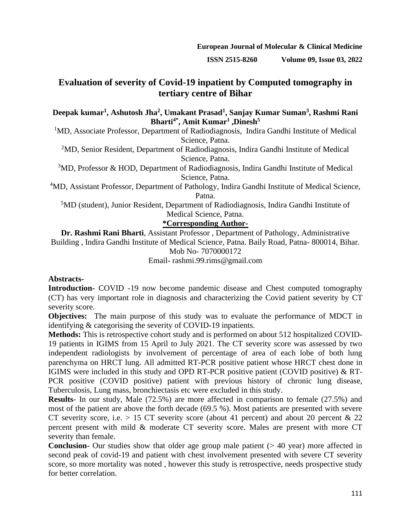**ISSN 2515-8260 Volume 09, Issue 03, 2022**

# **Evaluation of severity of Covid-19 inpatient by Computed tomography in tertiary centre of Bihar**

## **Deepak kumar<sup>1</sup> , Ashutosh Jha<sup>2</sup> , Umakant Prasad<sup>1</sup> , Sanjay Kumar Suman<sup>3</sup> , Rashmi Rani Bharti4\*, Amit Kumar<sup>1</sup> ,Dinesh<sup>5</sup>**

<sup>1</sup>MD, Associate Professor, Department of Radiodiagnosis, Indira Gandhi Institute of Medical Science, Patna.

<sup>2</sup>MD, Senior Resident, Department of Radiodiagnosis, Indira Gandhi Institute of Medical Science, Patna.

<sup>3</sup>MD, Professor & HOD, Department of Radiodiagnosis, Indira Gandhi Institute of Medical Science, Patna.

<sup>4</sup>MD, Assistant Professor, Department of Pathology, Indira Gandhi Institute of Medical Science, Patna.

<sup>5</sup>MD (student), Junior Resident, Department of Radiodiagnosis, Indira Gandhi Institute of Medical Science, Patna.

# **\*Corresponding Author-**

**Dr. Rashmi Rani Bharti**, Assistant Professor , Department of Pathology, Administrative Building , Indira Gandhi Institute of Medical Science, Patna. Baily Road, Patna- 800014, Bihar. Mob No- 7070000172

Email- rashmi.99.rims@gmail.com

# **Abstracts-**

**Introduction-** COVID -19 now become pandemic disease and Chest computed tomography (CT) has very important role in diagnosis and characterizing the Covid patient severity by CT severity score.

**Objectives:** The main purpose of this study was to evaluate the performance of MDCT in identifying & categorising the severity of COVID-19 inpatients.

**Methods:** This is retrospective cohort study and is performed on about 512 hospitalized COVID-19 patients in IGIMS from 15 April to July 2021. The CT severity score was assessed by two independent radiologists by involvement of percentage of area of each lobe of both lung parenchyma on HRCT lung. All admitted RT-PCR positive patient whose HRCT chest done in IGIMS were included in this study and OPD RT-PCR positive patient (COVID positive) & RT-PCR positive (COVID positive) patient with previous history of chronic lung disease, Tuberculosis, Lung mass, bronchiectasis etc were excluded in this study.

**Results**- In our study, Male (72.5%) are more affected in comparison to female (27.5%) and most of the patient are above the forth decade (69.5 %). Most patients are presented with severe CT severity score, i.e.  $> 15$  CT severity score (about 41 percent) and about 20 percent & 22 percent present with mild & moderate CT severity score. Males are present with more CT severity than female.

**Conclusion-** Our studies show that older age group male patient (> 40 year) more affected in second peak of covid-19 and patient with chest involvement presented with severe CT severity score, so more mortality was noted , however this study is retrospective, needs prospective study for better correlation.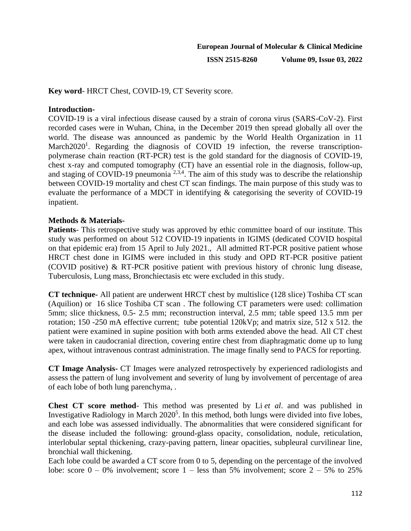**ISSN 2515-8260 Volume 09, Issue 03, 2022**

**Key word**- HRCT Chest, COVID-19, CT Severity score.

## **Introduction-**

COVID-19 is a viral infectious disease caused by a strain of corona virus (SARS-CoV-2). First recorded cases were in Wuhan, China, in the December 2019 then spread globally all over the world. The disease was announced as pandemic by the World Health Organization in 11 March2020<sup>1</sup>[.](https://www.ncbi.nlm.nih.gov/labs/pmc/articles/PMC7844803/#CR1) Regarding the diagnosis of COVID 19 infection, the reverse transcriptionpolymerase chain reaction (RT-PCR) test is the gold standard for the diagnosis of COVID-19, chest x-ray and computed tomography (CT) have an essential role in the diagnosis, follow-up, and staging of COVID-19 pneumonia  $2,3,4$ . The aim of this study was to describe the relationship between COVID-19 mortality and chest CT scan findings. The main purpose of this study was to evaluate the performance of a MDCT in identifying & categorising the severity of COVID-19 inpatient.

## **Methods & Materials-**

**Patients**- This retrospective study was approved by ethic committee board of our institute. This study was performed on about 512 COVID-19 inpatients in IGIMS (dedicated COVID hospital on that epidemic era) from 15 April to July 2021., All admitted RT-PCR positive patient whose HRCT chest done in IGIMS were included in this study and OPD RT-PCR positive patient (COVID positive) & RT-PCR positive patient with previous history of chronic lung disease, Tuberculosis, Lung mass, Bronchiectasis etc were excluded in this study.

**CT technique-** All patient are underwent HRCT chest by multislice (128 slice) Toshiba CT scan (Aquilion) or 16 slice Toshiba CT scan . The following CT parameters were used: collimation 5mm; slice thickness, 0.5- 2.5 mm; reconstruction interval, 2.5 mm; table speed 13.5 mm per rotation; 150 -250 mA effective current; tube potential 120kVp; and matrix size, 512 x 512. the patient were examined in supine position with both arms extended above the head. All CT chest were taken in caudocranial direction, covering entire chest from diaphragmatic dome up to lung apex, without intravenous contrast administration. The image finally send to PACS for reporting.

**CT Image Analysis-** CT Images were analyzed retrospectively by experienced radiologists and assess the pattern of lung involvement and severity of lung by involvement of percentage of area of each lobe of both lung parenchyma, .

**Chest CT score method**- This method was presented by Li *et al*. and was published in Investigative Radiology in March 2020<sup>[5](https://www.ncbi.nlm.nih.gov/pmc/articles/PMC7425223/#ref19)</sup>. In this method, both lungs were divided into five lobes, and each lobe was assessed individually. The abnormalities that were considered significant for the disease included the following: ground-glass opacity, consolidation, nodule, reticulation, interlobular septal thickening, crazy-paving pattern, linear opacities, subpleural curvilinear line, bronchial wall thickening.

Each lobe could be awarded a CT score from 0 to 5, depending on the percentage of the involved lobe: score  $0 - 0\%$  involvement; score  $1 -$  less than 5% involvement; score  $2 - 5\%$  to 25%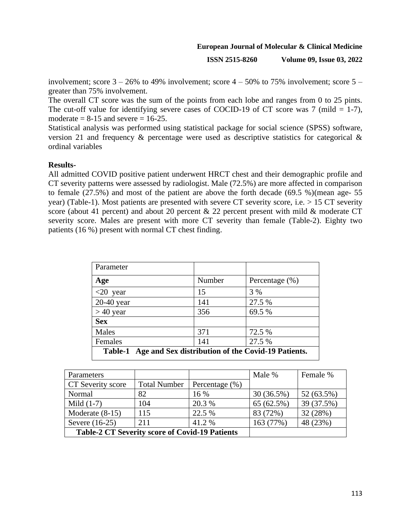**ISSN 2515-8260 Volume 09, Issue 03, 2022**

involvement; score  $3 - 26\%$  to 49% involvement; score  $4 - 50\%$  to 75% involvement; score  $5$ greater than 75% involvement.

The overall CT score was the sum of the points from each lobe and ranges from 0 to 25 pints. The cut-off value for identifying severe cases of COCID-19 of CT score was 7 (mild  $= 1-7$ ), moderate  $= 8-15$  and severe  $= 16-25$ .

Statistical analysis was performed using statistical package for social science (SPSS) software, version 21 and frequency & percentage were used as descriptive statistics for categorical & ordinal variables

## **Results-**

All admitted COVID positive patient underwent HRCT chest and their demographic profile and CT severity patterns were assessed by radiologist. Male (72.5%) are more affected in comparison to female (27.5%) and most of the patient are above the forth decade (69.5 %)(mean age- 55 year) (Table-1). Most patients are presented with severe CT severity score, i.e. > 15 CT severity score (about 41 percent) and about 20 percent  $\&$  22 percent present with mild  $\&$  moderate CT severity score. Males are present with more CT severity than female (Table-2). Eighty two patients (16 %) present with normal CT chest finding.

| Parameter                                                            |        |                    |  |  |
|----------------------------------------------------------------------|--------|--------------------|--|--|
| Age                                                                  | Number | Percentage $(\% )$ |  |  |
| $<20$ year                                                           | 15     | 3 %                |  |  |
| $20-40$ year                                                         | 141    | 27.5 %             |  |  |
| $> 40$ year                                                          | 356    | 69.5 %             |  |  |
| <b>Sex</b>                                                           |        |                    |  |  |
| Males                                                                | 371    | 72.5 %             |  |  |
| Females                                                              | 141    | 27.5 %             |  |  |
| Age and Sex distribution of the Covid-19 Patients.<br><b>Table-1</b> |        |                    |  |  |

| Parameters                                            |                     |                    | Male %       | Female %   |
|-------------------------------------------------------|---------------------|--------------------|--------------|------------|
| CT Severity score                                     | <b>Total Number</b> | Percentage $(\% )$ |              |            |
| Normal                                                | 82                  | 16 %               | $30(36.5\%)$ | 52 (63.5%) |
| Mild $(1-7)$                                          | 104                 | 20.3 %             | 65 (62.5%)   | 39 (37.5%) |
| Moderate $(8-15)$                                     | 115                 | 22.5 %             | 83 (72%)     | 32 (28%)   |
| Severe (16-25)                                        | 211                 | 41.2 %             | 163 (77%)    | 48 (23%)   |
| <b>Table-2 CT Severity score of Covid-19 Patients</b> |                     |                    |              |            |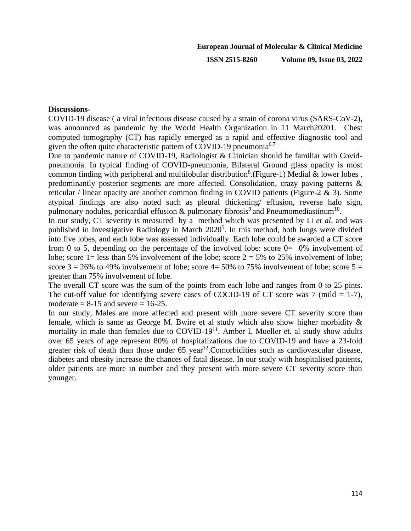**ISSN 2515-8260 Volume 09, Issue 03, 2022**

#### **Discussions-**

COVID-19 disease ( a viral infectious disease caused by a strain of corona virus (SARS-CoV-2), was announced as pandemic by the World Health Organization in 11 March202[01.](https://www.ncbi.nlm.nih.gov/labs/pmc/articles/PMC7844803/#CR1) Chest computed tomography (CT) has rapidly emerged as a rapid and effective diagnostic tool and given the often quite characteristic pattern of COVID-19 pneumonia<sup>6.7</sup>

Due to pandemic nature of COVID-19, Radiologist & Clinician should be familiar with Covidpneumonia. In typical finding of COVID-pneumonia, Bilateral Ground glass opacity is most common finding with peripheral and multilobular distribution<sup>8</sup>. (Figure-1) Medial & lower lobes, predominantly posterior segments are more affected. Consolidation, crazy paving patterns & reticular / linear opacity are another common finding in COVID patients (Figure-2  $\&$  3). Some atypical findings are also noted such as pleural thickening/ effusion, reverse halo sign, pulmonary nodules, pericardial effusion  $\&$  pulmonary fibrosis<sup>9</sup> and Pneumomediastinum<sup>10</sup>.

In our study, CT severity is measured by a method which was presented by Li *et al*. and was published in Investigative Radiology in March 2020<sup>5</sup>. In this method, both lungs were divided into five lobes, and each lobe was assessed individually. Each lobe could be awarded a CT score from 0 to 5, depending on the percentage of the involved lobe: score 0= 0% involvement of lobe; score 1= less than 5% involvement of the lobe; score  $2 = 5%$  to 25% involvement of lobe; score  $3 = 26\%$  to 49% involvement of lobe; score  $4 = 50\%$  to 75% involvement of lobe; score  $5 =$ greater than 75% involvement of lobe.

The overall CT score was the sum of the points from each lobe and ranges from 0 to 25 pints. The cut-off value for identifying severe cases of COCID-19 of CT score was 7 (mild  $= 1-7$ ), moderate  $= 8-15$  and severe  $= 16-25$ .

In our study, Males are more affected and present with more severe CT severity score than female, which is same as George M. Bwire et al study which also show higher morbidity & mortality in male than females due to COVID-19<sup>11</sup>. Amber L Mueller et. al study show adults over 65 years of age represent 80% of hospitalizations due to COVID-19 and have a 23-fold greater risk of death than those under  $65 \text{ year}^{12}$ . Comorbidities such as cardiovascular disease, diabetes and obesity increase the chances of fatal disease. In our study with hospitalised patients, older patients are more in number and they present with more severe CT severity score than younger.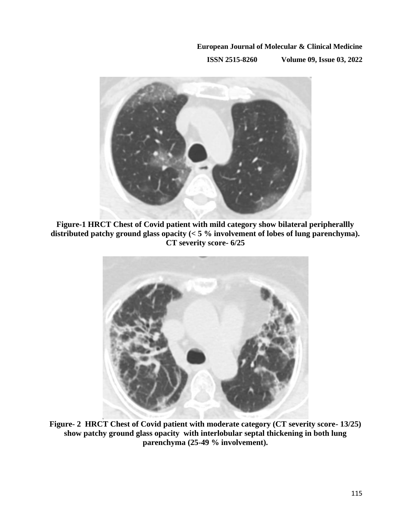**ISSN 2515-8260 Volume 09, Issue 03, 2022**



**Figure-1 HRCT Chest of Covid patient with mild category show bilateral peripherallly distributed patchy ground glass opacity (< 5 % involvement of lobes of lung parenchyma). CT severity score- 6/25**



**Figure- 2 HRCT Chest of Covid patient with moderate category (CT severity score- 13/25) show patchy ground glass opacity with interlobular septal thickening in both lung parenchyma (25-49 % involvement).**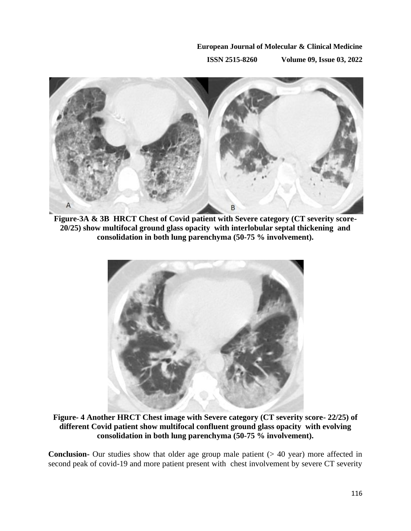**ISSN 2515-8260 Volume 09, Issue 03, 2022**



**Figure-3A & 3B HRCT Chest of Covid patient with Severe category (CT severity score-20/25) show multifocal ground glass opacity with interlobular septal thickening and consolidation in both lung parenchyma (50-75 % involvement).**



**Figure- 4 Another HRCT Chest image with Severe category (CT severity score- 22/25) of different Covid patient show multifocal confluent ground glass opacity with evolving consolidation in both lung parenchyma (50-75 % involvement).**

**Conclusion-** Our studies show that older age group male patient (> 40 year) more affected in second peak of covid-19 and more patient present with chest involvement by severe CT severity